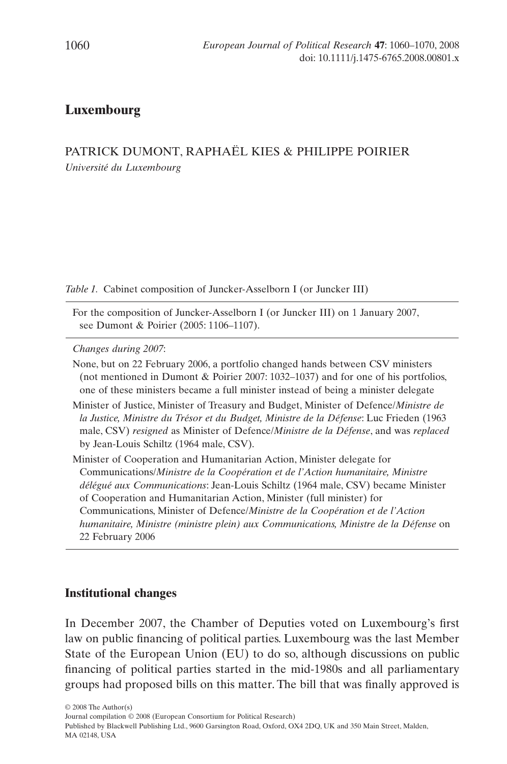# **Luxembourg**

## PATRICK DUMONT, RAPHAËL KIES & PHILIPPE POIRIER *Université du Luxembourg*

*Table 1.* Cabinet composition of Juncker-Asselborn I (or Juncker III)

For the composition of Juncker-Asselborn I (or Juncker III) on 1 January 2007, see Dumont & Poirier (2005: 1106–1107).

*Changes during 2007*:

None, but on 22 February 2006, a portfolio changed hands between CSV ministers (not mentioned in Dumont & Poirier 2007: 1032–1037) and for one of his portfolios, one of these ministers became a full minister instead of being a minister delegate

Minister of Justice, Minister of Treasury and Budget, Minister of Defence/*Ministre de la Justice, Ministre du Trésor et du Budget, Ministre de la Défense*: Luc Frieden (1963 male, CSV) *resigned* as Minister of Defence/*Ministre de la Défense*, and was *replaced* by Jean-Louis Schiltz (1964 male, CSV).

Minister of Cooperation and Humanitarian Action, Minister delegate for Communications/*Ministre de la Coopération et de l'Action humanitaire, Ministre délégué aux Communications*: Jean-Louis Schiltz (1964 male, CSV) became Minister of Cooperation and Humanitarian Action, Minister (full minister) for Communications, Minister of Defence/*Ministre de la Coopération et de l'Action humanitaire, Ministre (ministre plein) aux Communications, Ministre de la Défense* on 22 February 2006

## **Institutional changes**

In December 2007, the Chamber of Deputies voted on Luxembourg's first law on public financing of political parties. Luxembourg was the last Member State of the European Union (EU) to do so, although discussions on public financing of political parties started in the mid-1980s and all parliamentary groups had proposed bills on this matter. The bill that was finally approved is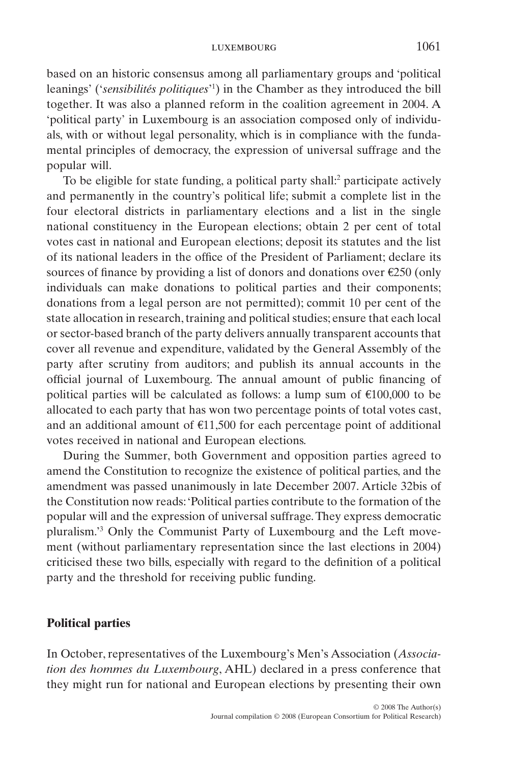#### luxembourg 1061

based on an historic consensus among all parliamentary groups and 'political leanings' ('*sensibilités politiques*' 1 ) in the Chamber as they introduced the bill together. It was also a planned reform in the coalition agreement in 2004. A 'political party' in Luxembourg is an association composed only of individuals, with or without legal personality, which is in compliance with the fundamental principles of democracy, the expression of universal suffrage and the popular will.

To be eligible for state funding, a political party shall:<sup>2</sup> participate actively and permanently in the country's political life; submit a complete list in the four electoral districts in parliamentary elections and a list in the single national constituency in the European elections; obtain 2 per cent of total votes cast in national and European elections; deposit its statutes and the list of its national leaders in the office of the President of Parliament; declare its sources of finance by providing a list of donors and donations over €250 (only individuals can make donations to political parties and their components; donations from a legal person are not permitted); commit 10 per cent of the state allocation in research, training and political studies; ensure that each local or sector-based branch of the party delivers annually transparent accounts that cover all revenue and expenditure, validated by the General Assembly of the party after scrutiny from auditors; and publish its annual accounts in the official journal of Luxembourg. The annual amount of public financing of political parties will be calculated as follows: a lump sum of  $\epsilon$ 100,000 to be allocated to each party that has won two percentage points of total votes cast, and an additional amount of  $E11,500$  for each percentage point of additional votes received in national and European elections.

During the Summer, both Government and opposition parties agreed to amend the Constitution to recognize the existence of political parties, and the amendment was passed unanimously in late December 2007. Article 32bis of the Constitution now reads:'Political parties contribute to the formation of the popular will and the expression of universal suffrage. They express democratic pluralism.'3 Only the Communist Party of Luxembourg and the Left movement (without parliamentary representation since the last elections in 2004) criticised these two bills, especially with regard to the definition of a political party and the threshold for receiving public funding.

### **Political parties**

In October, representatives of the Luxembourg's Men's Association (*Association des hommes du Luxembourg*, AHL) declared in a press conference that they might run for national and European elections by presenting their own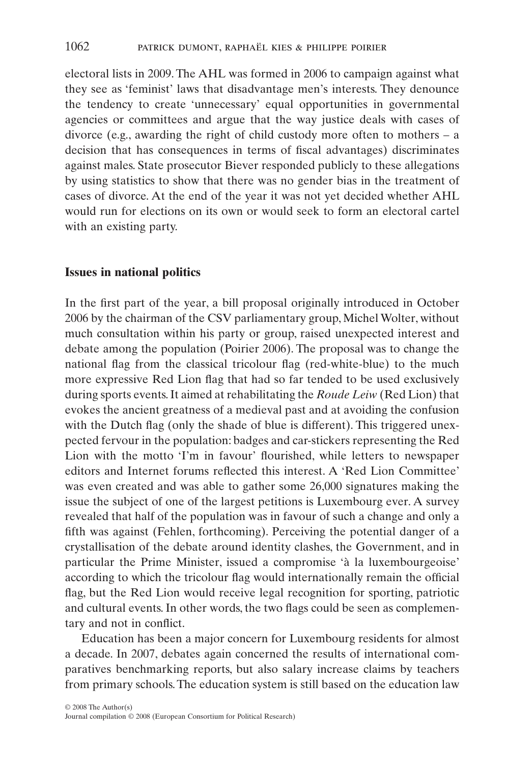electoral lists in 2009. The AHL was formed in 2006 to campaign against what they see as 'feminist' laws that disadvantage men's interests. They denounce the tendency to create 'unnecessary' equal opportunities in governmental agencies or committees and argue that the way justice deals with cases of divorce (e.g., awarding the right of child custody more often to mothers – a decision that has consequences in terms of fiscal advantages) discriminates against males. State prosecutor Biever responded publicly to these allegations by using statistics to show that there was no gender bias in the treatment of cases of divorce. At the end of the year it was not yet decided whether AHL would run for elections on its own or would seek to form an electoral cartel with an existing party.

### **Issues in national politics**

In the first part of the year, a bill proposal originally introduced in October 2006 by the chairman of the CSV parliamentary group, Michel Wolter, without much consultation within his party or group, raised unexpected interest and debate among the population (Poirier 2006). The proposal was to change the national flag from the classical tricolour flag (red-white-blue) to the much more expressive Red Lion flag that had so far tended to be used exclusively during sports events. It aimed at rehabilitating the *Roude Leiw* (Red Lion) that evokes the ancient greatness of a medieval past and at avoiding the confusion with the Dutch flag (only the shade of blue is different). This triggered unexpected fervour in the population: badges and car-stickers representing the Red Lion with the motto 'I'm in favour' flourished, while letters to newspaper editors and Internet forums reflected this interest. A 'Red Lion Committee' was even created and was able to gather some 26,000 signatures making the issue the subject of one of the largest petitions is Luxembourg ever. A survey revealed that half of the population was in favour of such a change and only a fifth was against (Fehlen, forthcoming). Perceiving the potential danger of a crystallisation of the debate around identity clashes, the Government, and in particular the Prime Minister, issued a compromise 'à la luxembourgeoise' according to which the tricolour flag would internationally remain the official flag, but the Red Lion would receive legal recognition for sporting, patriotic and cultural events. In other words, the two flags could be seen as complementary and not in conflict.

Education has been a major concern for Luxembourg residents for almost a decade. In 2007, debates again concerned the results of international comparatives benchmarking reports, but also salary increase claims by teachers from primary schools. The education system is still based on the education law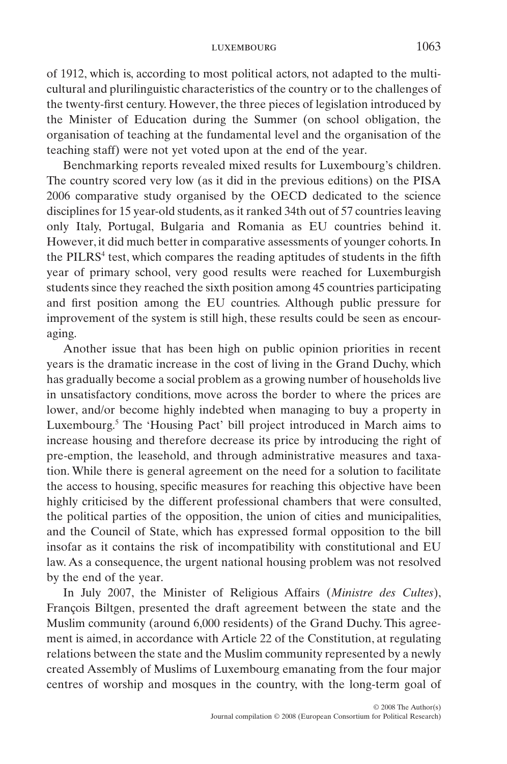#### luxembourg 1063

of 1912, which is, according to most political actors, not adapted to the multicultural and plurilinguistic characteristics of the country or to the challenges of the twenty-first century. However, the three pieces of legislation introduced by the Minister of Education during the Summer (on school obligation, the organisation of teaching at the fundamental level and the organisation of the teaching staff) were not yet voted upon at the end of the year.

Benchmarking reports revealed mixed results for Luxembourg's children. The country scored very low (as it did in the previous editions) on the PISA 2006 comparative study organised by the OECD dedicated to the science disciplines for 15 year-old students, as it ranked 34th out of 57 countries leaving only Italy, Portugal, Bulgaria and Romania as EU countries behind it. However, it did much better in comparative assessments of younger cohorts. In the PILRS<sup>4</sup> test, which compares the reading aptitudes of students in the fifth year of primary school, very good results were reached for Luxemburgish students since they reached the sixth position among 45 countries participating and first position among the EU countries. Although public pressure for improvement of the system is still high, these results could be seen as encouraging.

Another issue that has been high on public opinion priorities in recent years is the dramatic increase in the cost of living in the Grand Duchy, which has gradually become a social problem as a growing number of households live in unsatisfactory conditions, move across the border to where the prices are lower, and/or become highly indebted when managing to buy a property in Luxembourg.5 The 'Housing Pact' bill project introduced in March aims to increase housing and therefore decrease its price by introducing the right of pre-emption, the leasehold, and through administrative measures and taxation. While there is general agreement on the need for a solution to facilitate the access to housing, specific measures for reaching this objective have been highly criticised by the different professional chambers that were consulted, the political parties of the opposition, the union of cities and municipalities, and the Council of State, which has expressed formal opposition to the bill insofar as it contains the risk of incompatibility with constitutional and EU law. As a consequence, the urgent national housing problem was not resolved by the end of the year.

In July 2007, the Minister of Religious Affairs (*Ministre des Cultes*), François Biltgen, presented the draft agreement between the state and the Muslim community (around 6,000 residents) of the Grand Duchy. This agreement is aimed, in accordance with Article 22 of the Constitution, at regulating relations between the state and the Muslim community represented by a newly created Assembly of Muslims of Luxembourg emanating from the four major centres of worship and mosques in the country, with the long-term goal of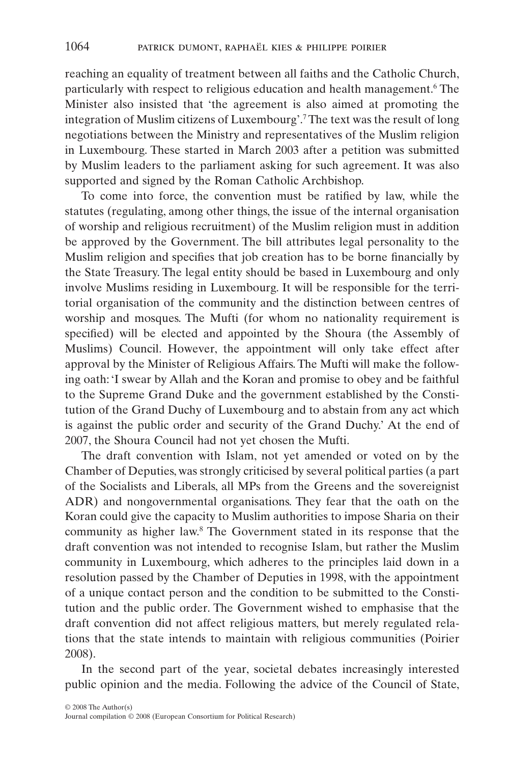reaching an equality of treatment between all faiths and the Catholic Church, particularly with respect to religious education and health management.<sup>6</sup> The Minister also insisted that 'the agreement is also aimed at promoting the integration of Muslim citizens of Luxembourg'.7The text was the result of long negotiations between the Ministry and representatives of the Muslim religion in Luxembourg. These started in March 2003 after a petition was submitted by Muslim leaders to the parliament asking for such agreement. It was also supported and signed by the Roman Catholic Archbishop.

To come into force, the convention must be ratified by law, while the statutes (regulating, among other things, the issue of the internal organisation of worship and religious recruitment) of the Muslim religion must in addition be approved by the Government. The bill attributes legal personality to the Muslim religion and specifies that job creation has to be borne financially by the State Treasury. The legal entity should be based in Luxembourg and only involve Muslims residing in Luxembourg. It will be responsible for the territorial organisation of the community and the distinction between centres of worship and mosques. The Mufti (for whom no nationality requirement is specified) will be elected and appointed by the Shoura (the Assembly of Muslims) Council. However, the appointment will only take effect after approval by the Minister of Religious Affairs. The Mufti will make the following oath: 'I swear by Allah and the Koran and promise to obey and be faithful to the Supreme Grand Duke and the government established by the Constitution of the Grand Duchy of Luxembourg and to abstain from any act which is against the public order and security of the Grand Duchy.' At the end of 2007, the Shoura Council had not yet chosen the Mufti.

The draft convention with Islam, not yet amended or voted on by the Chamber of Deputies, was strongly criticised by several political parties (a part of the Socialists and Liberals, all MPs from the Greens and the sovereignist ADR) and nongovernmental organisations. They fear that the oath on the Koran could give the capacity to Muslim authorities to impose Sharia on their community as higher law.8 The Government stated in its response that the draft convention was not intended to recognise Islam, but rather the Muslim community in Luxembourg, which adheres to the principles laid down in a resolution passed by the Chamber of Deputies in 1998, with the appointment of a unique contact person and the condition to be submitted to the Constitution and the public order. The Government wished to emphasise that the draft convention did not affect religious matters, but merely regulated relations that the state intends to maintain with religious communities (Poirier 2008).

In the second part of the year, societal debates increasingly interested public opinion and the media. Following the advice of the Council of State,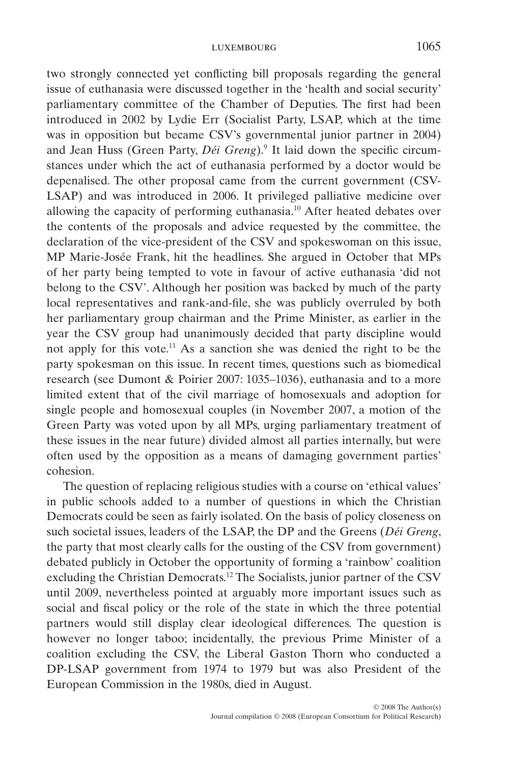two strongly connected yet conflicting bill proposals regarding the general issue of euthanasia were discussed together in the 'health and social security' parliamentary committee of the Chamber of Deputies. The first had been introduced in 2002 by Lydie Err (Socialist Party, LSAP, which at the time was in opposition but became CSV's governmental junior partner in 2004) and Jean Huss (Green Party, *Déi Greng*).9 It laid down the specific circumstances under which the act of euthanasia performed by a doctor would be depenalised. The other proposal came from the current government (CSV-LSAP) and was introduced in 2006. It privileged palliative medicine over allowing the capacity of performing euthanasia.10 After heated debates over the contents of the proposals and advice requested by the committee, the declaration of the vice-president of the CSV and spokeswoman on this issue, MP Marie-Josée Frank, hit the headlines. She argued in October that MPs of her party being tempted to vote in favour of active euthanasia 'did not belong to the CSV'. Although her position was backed by much of the party local representatives and rank-and-file, she was publicly overruled by both her parliamentary group chairman and the Prime Minister, as earlier in the year the CSV group had unanimously decided that party discipline would not apply for this vote.<sup>11</sup> As a sanction she was denied the right to be the party spokesman on this issue. In recent times, questions such as biomedical research (see Dumont & Poirier 2007: 1035–1036), euthanasia and to a more limited extent that of the civil marriage of homosexuals and adoption for single people and homosexual couples (in November 2007, a motion of the Green Party was voted upon by all MPs, urging parliamentary treatment of these issues in the near future) divided almost all parties internally, but were often used by the opposition as a means of damaging government parties' cohesion.

The question of replacing religious studies with a course on 'ethical values' in public schools added to a number of questions in which the Christian Democrats could be seen as fairly isolated. On the basis of policy closeness on such societal issues, leaders of the LSAP, the DP and the Greens (*Déi Greng*, the party that most clearly calls for the ousting of the CSV from government) debated publicly in October the opportunity of forming a 'rainbow' coalition excluding the Christian Democrats.12 The Socialists, junior partner of the CSV until 2009, nevertheless pointed at arguably more important issues such as social and fiscal policy or the role of the state in which the three potential partners would still display clear ideological differences. The question is however no longer taboo; incidentally, the previous Prime Minister of a coalition excluding the CSV, the Liberal Gaston Thorn who conducted a DP-LSAP government from 1974 to 1979 but was also President of the European Commission in the 1980s, died in August.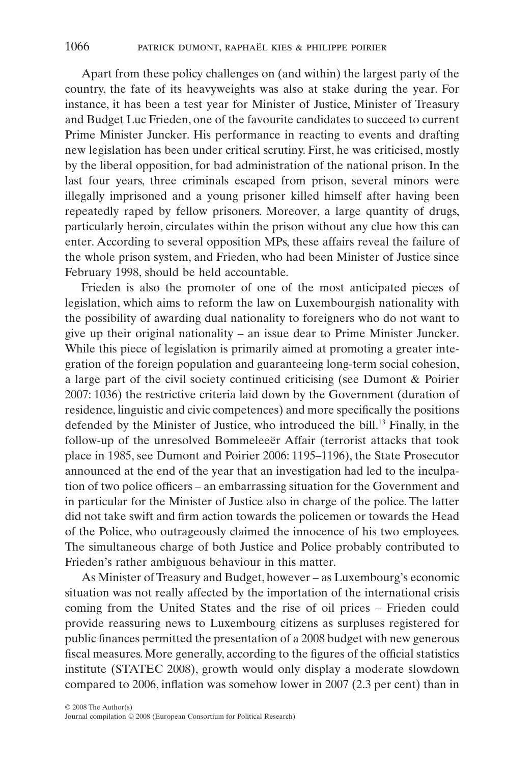Apart from these policy challenges on (and within) the largest party of the country, the fate of its heavyweights was also at stake during the year. For instance, it has been a test year for Minister of Justice, Minister of Treasury and Budget Luc Frieden, one of the favourite candidates to succeed to current Prime Minister Juncker. His performance in reacting to events and drafting new legislation has been under critical scrutiny. First, he was criticised, mostly by the liberal opposition, for bad administration of the national prison. In the last four years, three criminals escaped from prison, several minors were illegally imprisoned and a young prisoner killed himself after having been repeatedly raped by fellow prisoners. Moreover, a large quantity of drugs, particularly heroin, circulates within the prison without any clue how this can enter. According to several opposition MPs, these affairs reveal the failure of the whole prison system, and Frieden, who had been Minister of Justice since February 1998, should be held accountable.

Frieden is also the promoter of one of the most anticipated pieces of legislation, which aims to reform the law on Luxembourgish nationality with the possibility of awarding dual nationality to foreigners who do not want to give up their original nationality – an issue dear to Prime Minister Juncker. While this piece of legislation is primarily aimed at promoting a greater integration of the foreign population and guaranteeing long-term social cohesion, a large part of the civil society continued criticising (see Dumont & Poirier 2007: 1036) the restrictive criteria laid down by the Government (duration of residence, linguistic and civic competences) and more specifically the positions defended by the Minister of Justice, who introduced the bill.<sup>13</sup> Finally, in the follow-up of the unresolved Bommeleeër Affair (terrorist attacks that took place in 1985, see Dumont and Poirier 2006: 1195–1196), the State Prosecutor announced at the end of the year that an investigation had led to the inculpation of two police officers – an embarrassing situation for the Government and in particular for the Minister of Justice also in charge of the police. The latter did not take swift and firm action towards the policemen or towards the Head of the Police, who outrageously claimed the innocence of his two employees. The simultaneous charge of both Justice and Police probably contributed to Frieden's rather ambiguous behaviour in this matter.

As Minister of Treasury and Budget, however – as Luxembourg's economic situation was not really affected by the importation of the international crisis coming from the United States and the rise of oil prices – Frieden could provide reassuring news to Luxembourg citizens as surpluses registered for public finances permitted the presentation of a 2008 budget with new generous fiscal measures. More generally, according to the figures of the official statistics institute (STATEC 2008), growth would only display a moderate slowdown compared to 2006, inflation was somehow lower in 2007 (2.3 per cent) than in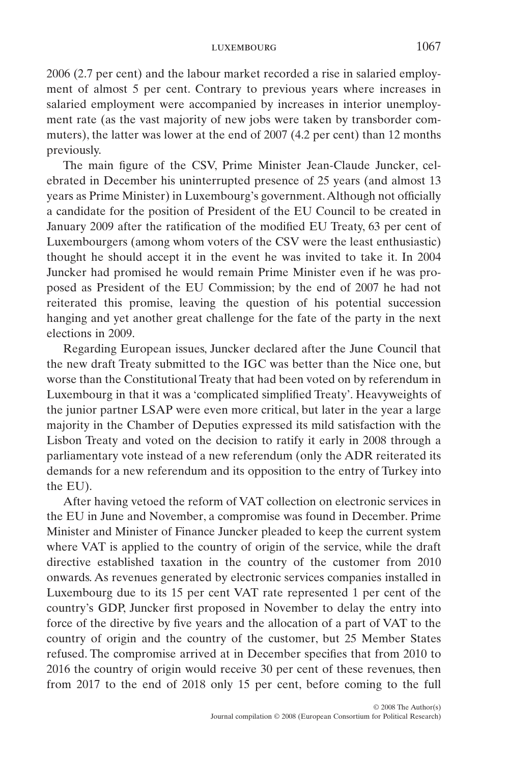2006 (2.7 per cent) and the labour market recorded a rise in salaried employment of almost 5 per cent. Contrary to previous years where increases in salaried employment were accompanied by increases in interior unemployment rate (as the vast majority of new jobs were taken by transborder commuters), the latter was lower at the end of 2007 (4.2 per cent) than 12 months previously.

The main figure of the CSV, Prime Minister Jean-Claude Juncker, celebrated in December his uninterrupted presence of 25 years (and almost 13 years as Prime Minister) in Luxembourg's government.Although not officially a candidate for the position of President of the EU Council to be created in January 2009 after the ratification of the modified EU Treaty, 63 per cent of Luxembourgers (among whom voters of the CSV were the least enthusiastic) thought he should accept it in the event he was invited to take it. In 2004 Juncker had promised he would remain Prime Minister even if he was proposed as President of the EU Commission; by the end of 2007 he had not reiterated this promise, leaving the question of his potential succession hanging and yet another great challenge for the fate of the party in the next elections in 2009.

Regarding European issues, Juncker declared after the June Council that the new draft Treaty submitted to the IGC was better than the Nice one, but worse than the Constitutional Treaty that had been voted on by referendum in Luxembourg in that it was a 'complicated simplified Treaty'. Heavyweights of the junior partner LSAP were even more critical, but later in the year a large majority in the Chamber of Deputies expressed its mild satisfaction with the Lisbon Treaty and voted on the decision to ratify it early in 2008 through a parliamentary vote instead of a new referendum (only the ADR reiterated its demands for a new referendum and its opposition to the entry of Turkey into the EU).

After having vetoed the reform of VAT collection on electronic services in the EU in June and November, a compromise was found in December. Prime Minister and Minister of Finance Juncker pleaded to keep the current system where VAT is applied to the country of origin of the service, while the draft directive established taxation in the country of the customer from 2010 onwards. As revenues generated by electronic services companies installed in Luxembourg due to its 15 per cent VAT rate represented 1 per cent of the country's GDP, Juncker first proposed in November to delay the entry into force of the directive by five years and the allocation of a part of VAT to the country of origin and the country of the customer, but 25 Member States refused. The compromise arrived at in December specifies that from 2010 to 2016 the country of origin would receive 30 per cent of these revenues, then from 2017 to the end of 2018 only 15 per cent, before coming to the full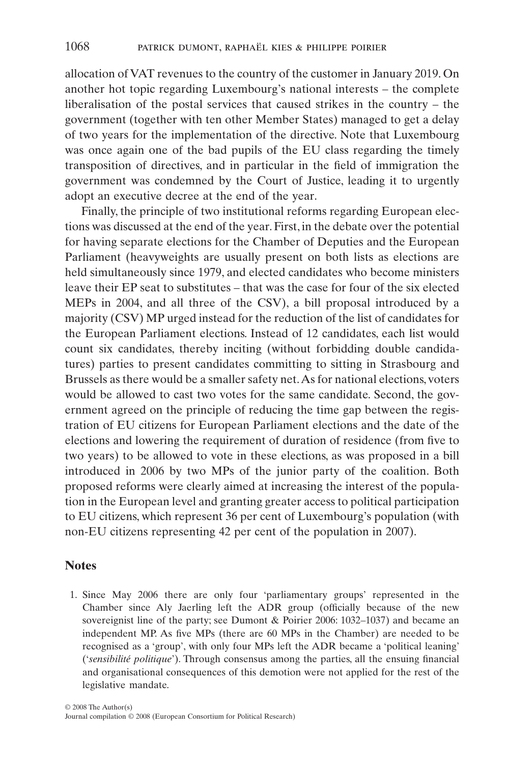allocation of VAT revenues to the country of the customer in January 2019. On another hot topic regarding Luxembourg's national interests – the complete liberalisation of the postal services that caused strikes in the country – the government (together with ten other Member States) managed to get a delay of two years for the implementation of the directive. Note that Luxembourg was once again one of the bad pupils of the EU class regarding the timely transposition of directives, and in particular in the field of immigration the government was condemned by the Court of Justice, leading it to urgently adopt an executive decree at the end of the year.

Finally, the principle of two institutional reforms regarding European elections was discussed at the end of the year. First, in the debate over the potential for having separate elections for the Chamber of Deputies and the European Parliament (heavyweights are usually present on both lists as elections are held simultaneously since 1979, and elected candidates who become ministers leave their EP seat to substitutes – that was the case for four of the six elected MEPs in 2004, and all three of the CSV), a bill proposal introduced by a majority (CSV) MP urged instead for the reduction of the list of candidates for the European Parliament elections. Instead of 12 candidates, each list would count six candidates, thereby inciting (without forbidding double candidatures) parties to present candidates committing to sitting in Strasbourg and Brussels as there would be a smaller safety net.As for national elections, voters would be allowed to cast two votes for the same candidate. Second, the government agreed on the principle of reducing the time gap between the registration of EU citizens for European Parliament elections and the date of the elections and lowering the requirement of duration of residence (from five to two years) to be allowed to vote in these elections, as was proposed in a bill introduced in 2006 by two MPs of the junior party of the coalition. Both proposed reforms were clearly aimed at increasing the interest of the population in the European level and granting greater access to political participation to EU citizens, which represent 36 per cent of Luxembourg's population (with non-EU citizens representing 42 per cent of the population in 2007).

### **Notes**

1. Since May 2006 there are only four 'parliamentary groups' represented in the Chamber since Aly Jaerling left the ADR group (officially because of the new sovereignist line of the party; see Dumont & Poirier 2006: 1032–1037) and became an independent MP. As five MPs (there are 60 MPs in the Chamber) are needed to be recognised as a 'group', with only four MPs left the ADR became a 'political leaning' ('*sensibilité politique*'). Through consensus among the parties, all the ensuing financial and organisational consequences of this demotion were not applied for the rest of the legislative mandate.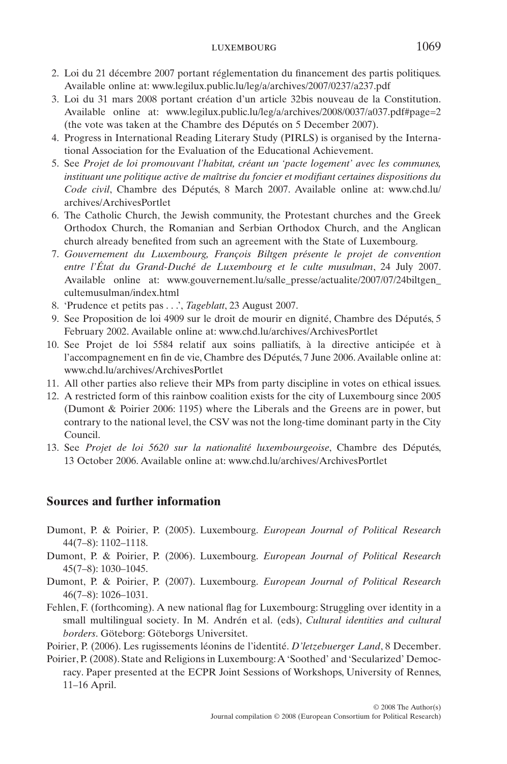#### luxembourg 1069

- 2. Loi du 21 décembre 2007 portant réglementation du financement des partis politiques. Available online at: [www.legilux.public.lu/leg/a/archives/2007/0237/a237.pdf](http://www.legilux.public.lu/leg/a/archives/2007/0237/a237.pdf)
- 3. Loi du 31 mars 2008 portant création d'un article 32bis nouveau de la Constitution. Available online at: [www.legilux.public.lu/leg/a/archives/2008/0037/a037.pdf#page=2](http://www.legilux.public.lu/leg/a/archives/2008/0037/a037.pdf#page=2) (the vote was taken at the Chambre des Députés on 5 December 2007).
- 4. Progress in International Reading Literary Study (PIRLS) is organised by the International Association for the Evaluation of the Educational Achievement.
- 5. See *Projet de loi promouvant l'habitat, créant un 'pacte logement' avec les communes, instituant une politique active de maîtrise du foncier et modifiant certaines dispositions du Code civil*, Chambre des Députés, 8 March 2007. Available online at: [www.chd.lu/](http://www.chd.lu) archives/ArchivesPortlet
- 6. The Catholic Church, the Jewish community, the Protestant churches and the Greek Orthodox Church, the Romanian and Serbian Orthodox Church, and the Anglican church already benefited from such an agreement with the State of Luxembourg.
- 7. *Gouvernement du Luxembourg, François Biltgen présente le projet de convention entre l'État du Grand-Duché de Luxembourg et le culte musulman*, 24 July 2007. Available online at: [www.gouvernement.lu/salle\\_presse/actualite/2007/07/24biltgen\\_](http://www.gouvernement.lu/salle_presse/actualite/2007/07/24biltgen_) cultemusulman/index.html
- 8. 'Prudence et petits pas . . .', *Tageblatt*, 23 August 2007.
- 9. See Proposition de loi 4909 sur le droit de mourir en dignité, Chambre des Députés, 5 February 2002. Available online at: [www.chd.lu/archives/ArchivesPortlet](http://www.chd.lu/archives/ArchivesPortlet)
- 10. See Projet de loi 5584 relatif aux soins palliatifs, à la directive anticipée et à l'accompagnement en fin de vie, Chambre des Députés, 7 June 2006.Available online at: [www.chd.lu/archives/ArchivesPortlet](http://www.chd.lu/archives/ArchivesPortlet)
- 11. All other parties also relieve their MPs from party discipline in votes on ethical issues.
- 12. A restricted form of this rainbow coalition exists for the city of Luxembourg since 2005 (Dumont & Poirier 2006: 1195) where the Liberals and the Greens are in power, but contrary to the national level, the CSV was not the long-time dominant party in the City Council.
- 13. See *Projet de loi 5620 sur la nationalité luxembourgeoise*, Chambre des Députés, 13 October 2006. Available online at: [www.chd.lu/archives/ArchivesPortlet](http://www.chd.lu/archives/ArchivesPortlet)

## **Sources and further information**

- Dumont, P. & Poirier, P. (2005). Luxembourg. *European Journal of Political Research* 44(7–8): 1102–1118.
- Dumont, P. & Poirier, P. (2006). Luxembourg. *European Journal of Political Research* 45(7–8): 1030–1045.
- Dumont, P. & Poirier, P. (2007). Luxembourg. *European Journal of Political Research* 46(7–8): 1026–1031.
- Fehlen, F. (forthcoming). A new national flag for Luxembourg: Struggling over identity in a small multilingual society. In M. Andrén et al. (eds), *Cultural identities and cultural borders*. Göteborg: Göteborgs Universitet.
- Poirier, P. (2006). Les rugissements léonins de l'identité. *D'letzebuerger Land*, 8 December.
- Poirier, P. (2008). State and Religions in Luxembourg:A 'Soothed' and 'Secularized' Democracy. Paper presented at the ECPR Joint Sessions of Workshops, University of Rennes, 11–16 April.